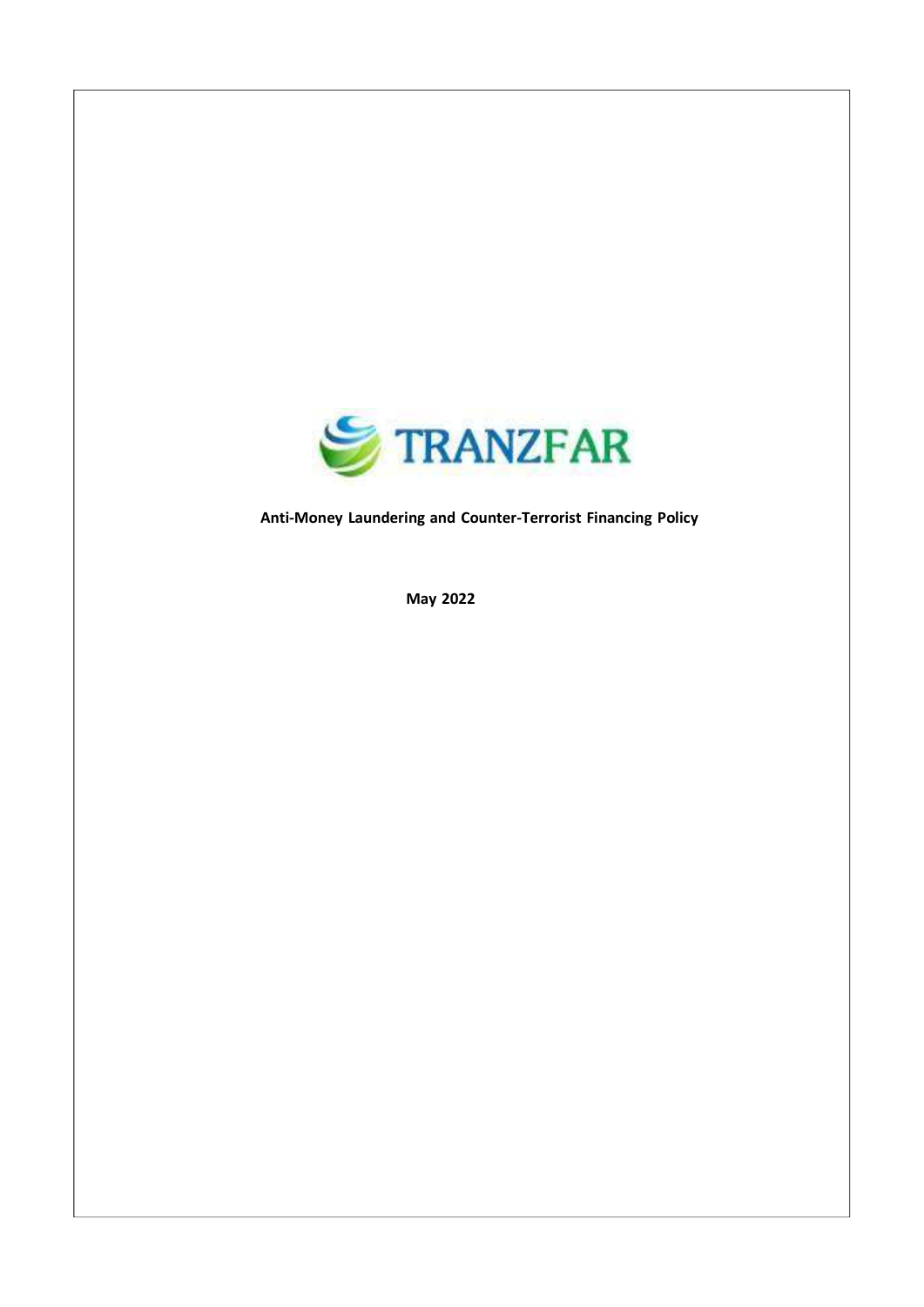

Anti-Money Laundering and Counter-Terrorist Financing Policy

May 2022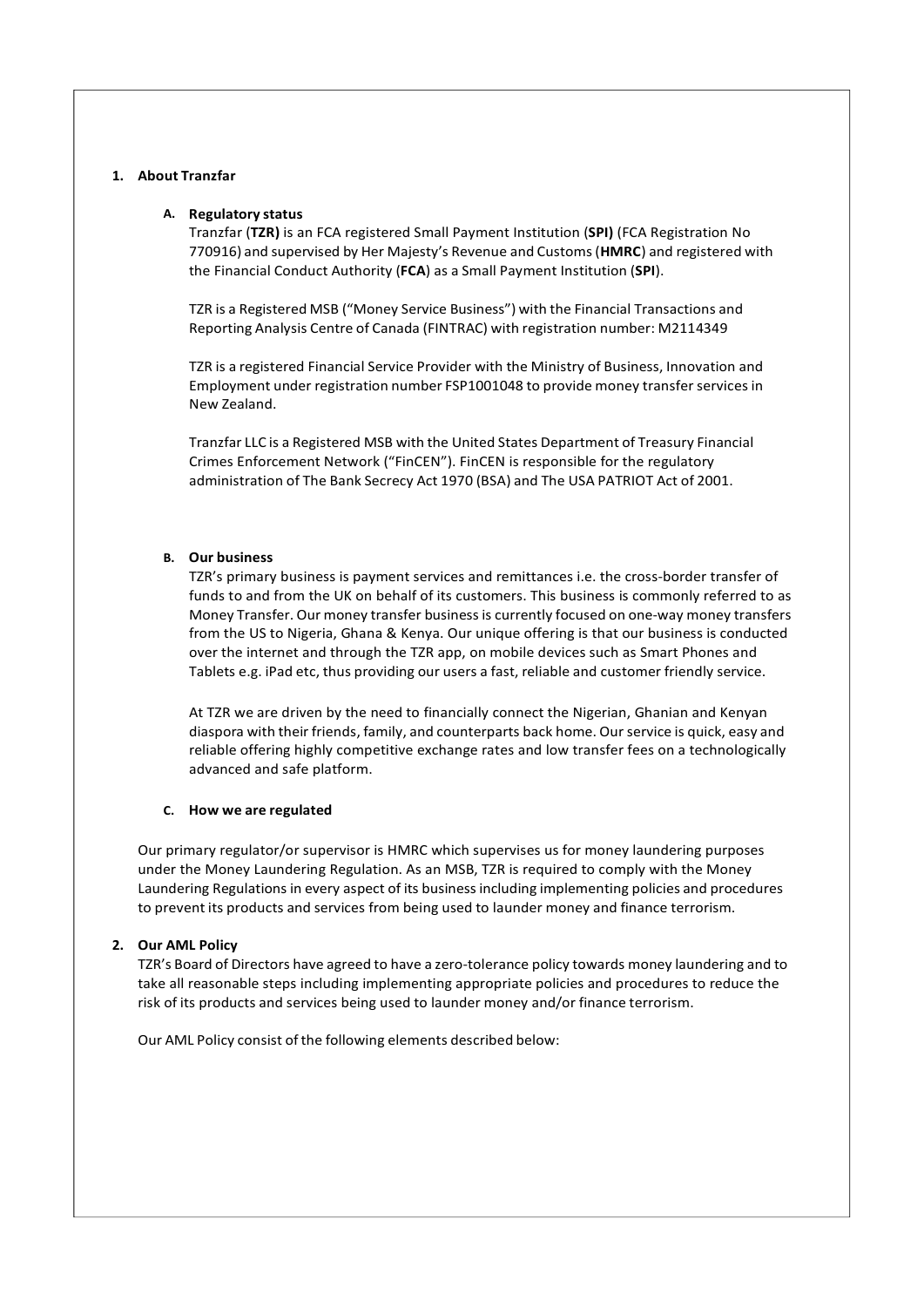#### 1. About Tranzfar

#### A. Regulatory status

Tranzfar (TZR) is an FCA registered Small Payment Institution (SPI) (FCA Registration No 770916) and supervised by Her Majesty's Revenue and Customs (HMRC) and registered with the Financial Conduct Authority (FCA) as a Small Payment Institution (SPI).

TZR is a Registered MSB ("Money Service Business") with the Financial Transactions and Reporting Analysis Centre of Canada (FINTRAC) with registration number: M2114349

TZR is a registered Financial Service Provider with the Ministry of Business, Innovation and Employment under registration number FSP1001048 to provide money transfer services in New Zealand.

Tranzfar LLC is a Registered MSB with the United States Department of Treasury Financial Crimes Enforcement Network ("FinCEN"). FinCEN is responsible for the regulatory administration of The Bank Secrecy Act 1970 (BSA) and The USA PATRIOT Act of 2001.

#### B. Our business

TZR's primary business is payment services and remittances i.e. the cross-border transfer of funds to and from the UK on behalf of its customers. This business is commonly referred to as Money Transfer. Our money transfer business is currently focused on one-way money transfers from the US to Nigeria, Ghana & Kenya. Our unique offering is that our business is conducted over the internet and through the TZR app, on mobile devices such as Smart Phones and Tablets e.g. iPad etc, thus providing our users a fast, reliable and customer friendly service.

At TZR we are driven by the need to financially connect the Nigerian, Ghanian and Kenyan diaspora with their friends, family, and counterparts back home. Our service is quick, easy and reliable offering highly competitive exchange rates and low transfer fees on a technologically advanced and safe platform.

#### C. How we are regulated

Our primary regulator/or supervisor is HMRC which supervises us for money laundering purposes under the Money Laundering Regulation. As an MSB, TZR is required to comply with the Money Laundering Regulations in every aspect of its business including implementing policies and procedures to prevent its products and services from being used to launder money and finance terrorism.

#### 2. Our AML Policy

TZR's Board of Directors have agreed to have a zero-tolerance policy towards money laundering and to take all reasonable steps including implementing appropriate policies and procedures to reduce the risk of its products and services being used to launder money and/or finance terrorism.

Our AML Policy consist of the following elements described below: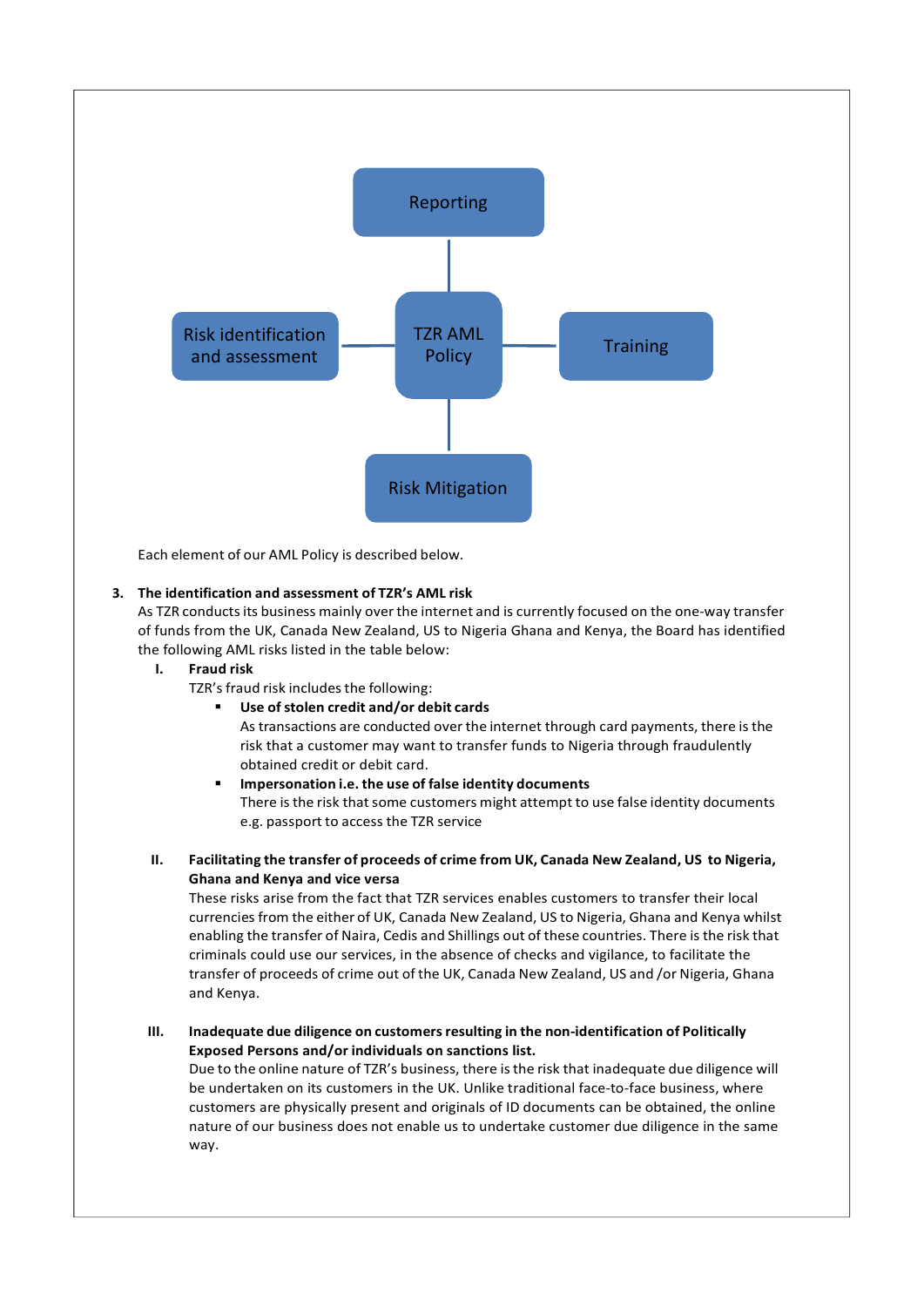

Each element of our AML Policy is described below.

## 3. The identification and assessment of TZR's AML risk

As TZR conducts its business mainly over the internet and is currently focused on the one-way transfer of funds from the UK, Canada New Zealand, US to Nigeria Ghana and Kenya, the Board has identified the following AML risks listed in the table below:

#### I. Fraud risk

TZR's fraud risk includes the following:

Use of stolen credit and/or debit cards

As transactions are conducted over the internet through card payments, there is the risk that a customer may want to transfer funds to Nigeria through fraudulently obtained credit or debit card.

- **IMPERSONATION I.E. the use of false identity documents** There is the risk that some customers might attempt to use false identity documents e.g. passport to access the TZR service
- II. Facilitating the transfer of proceeds of crime from UK, Canada New Zealand, US to Nigeria, Ghana and Kenya and vice versa

These risks arise from the fact that TZR services enables customers to transfer their local currencies from the either of UK, Canada New Zealand, US to Nigeria, Ghana and Kenya whilst enabling the transfer of Naira, Cedis and Shillings out of these countries. There is the risk that criminals could use our services, in the absence of checks and vigilance, to facilitate the transfer of proceeds of crime out of the UK, Canada New Zealand, US and /or Nigeria, Ghana and Kenya.

III. Inadequate due diligence on customers resulting in the non-identification of Politically Exposed Persons and/or individuals on sanctions list.

Due to the online nature of TZR's business, there is the risk that inadequate due diligence will be undertaken on its customers in the UK. Unlike traditional face-to-face business, where customers are physically present and originals of ID documents can be obtained, the online nature of our business does not enable us to undertake customer due diligence in the same way.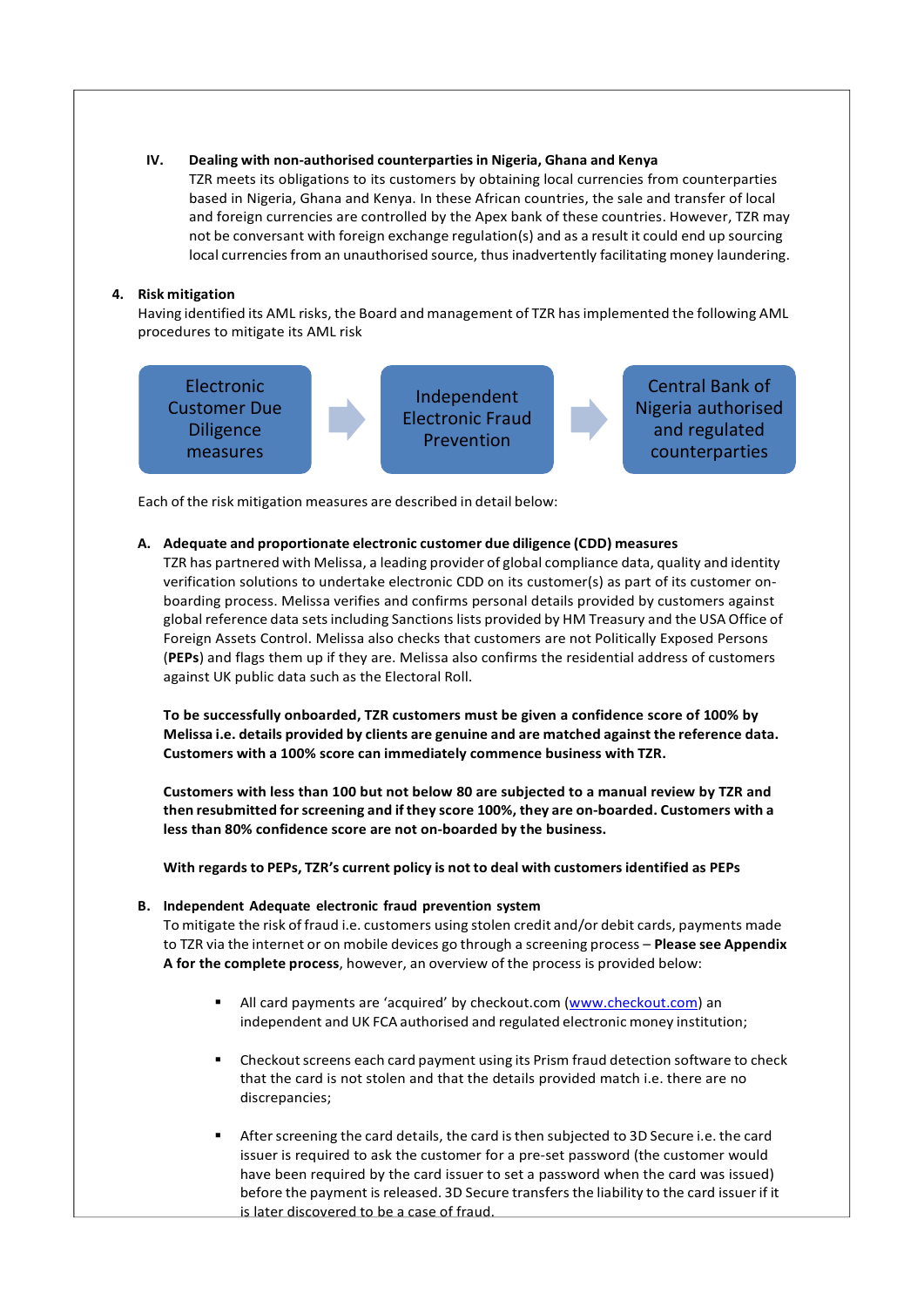#### IV. Dealing with non-authorised counterparties in Nigeria, Ghana and Kenya

TZR meets its obligations to its customers by obtaining local currencies from counterparties based in Nigeria, Ghana and Kenya. In these African countries, the sale and transfer of local and foreign currencies are controlled by the Apex bank of these countries. However, TZR may not be conversant with foreign exchange regulation(s) and as a result it could end up sourcing local currencies from an unauthorised source, thus inadvertently facilitating money laundering.

## 4. Risk mitigation

Having identified its AML risks, the Board and management of TZR has implemented the following AML procedures to mitigate its AML risk



Each of the risk mitigation measures are described in detail below:

## A. Adequate and proportionate electronic customer due diligence (CDD) measures

TZR has partnered with Melissa, a leading provider of global compliance data, quality and identity verification solutions to undertake electronic CDD on its customer(s) as part of its customer onboarding process. Melissa verifies and confirms personal details provided by customers against global reference data sets including Sanctions lists provided by HM Treasury and the USA Office of Foreign Assets Control. Melissa also checks that customers are not Politically Exposed Persons (PEPs) and flags them up if they are. Melissa also confirms the residential address of customers against UK public data such as the Electoral Roll.

To be successfully onboarded, TZR customers must be given a confidence score of 100% by Melissa i.e. details provided by clients are genuine and are matched against the reference data. Customers with a 100% score can immediately commence business with TZR.

Customers with less than 100 but not below 80 are subjected to a manual review by TZR and then resubmitted for screening and if they score 100%, they are on-boarded. Customers with a less than 80% confidence score are not on-boarded by the business.

With regards to PEPs, TZR's current policy is not to deal with customers identified as PEPs

## B. Independent Adequate electronic fraud prevention system

To mitigate the risk of fraud i.e. customers using stolen credit and/or debit cards, payments made to TZR via the internet or on mobile devices go through a screening process - Please see Appendix A for the complete process, however, an overview of the process is provided below:

- All card payments are 'acquired' by checkout.com (www.checkout.com) an independent and UK FCA authorised and regulated electronic money institution;
- Checkout screens each card payment using its Prism fraud detection software to check that the card is not stolen and that the details provided match i.e. there are no discrepancies;
- After screening the card details, the card is then subjected to 3D Secure i.e. the card issuer is required to ask the customer for a pre-set password (the customer would have been required by the card issuer to set a password when the card was issued) before the payment is released. 3D Secure transfers the liability to the card issuer if it is later discovered to be a case of fraud.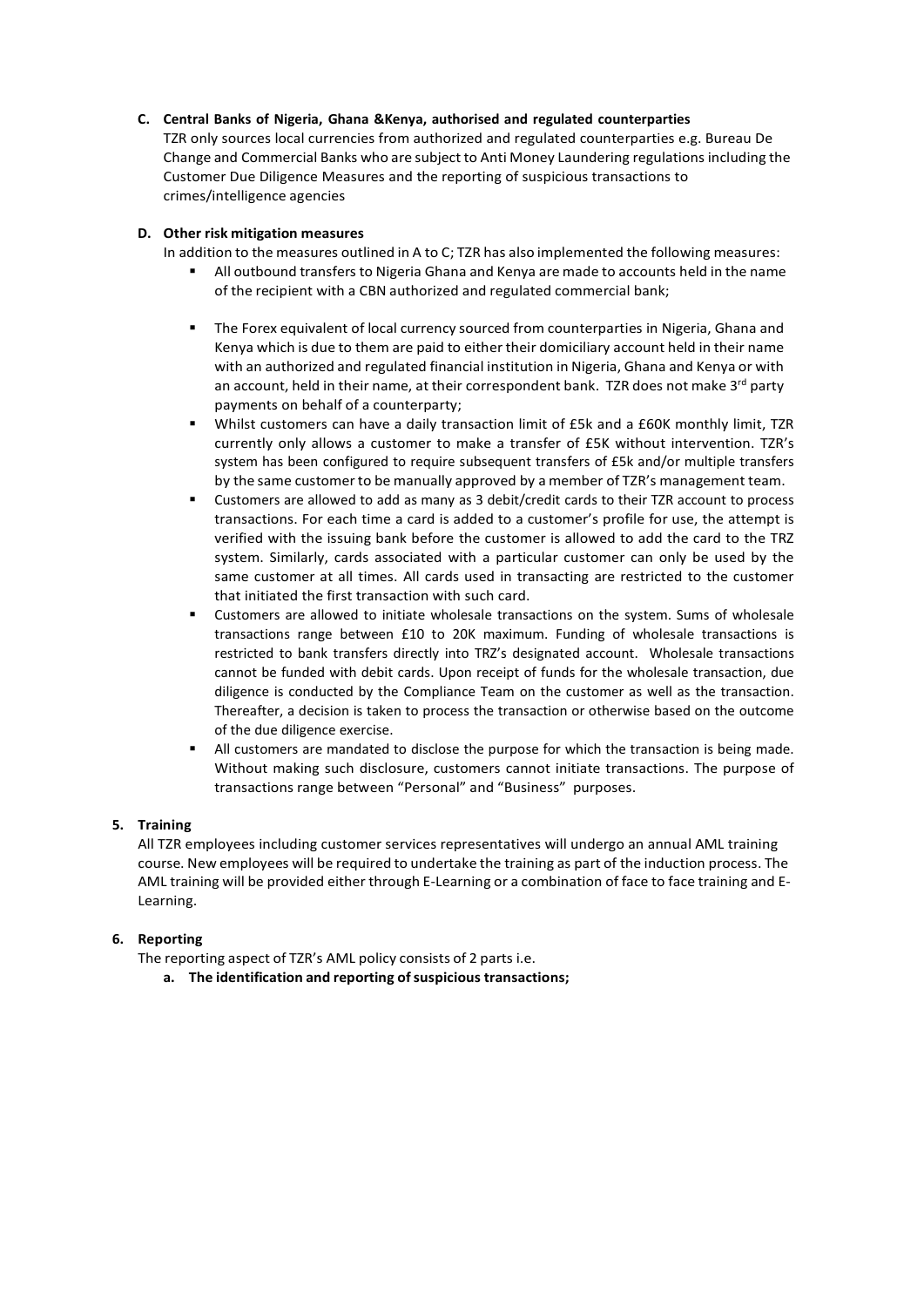## C. Central Banks of Nigeria, Ghana &Kenya, authorised and regulated counterparties

TZR only sources local currencies from authorized and regulated counterparties e.g. Bureau De Change and Commercial Banks who are subject to Anti Money Laundering regulations including the Customer Due Diligence Measures and the reporting of suspicious transactions to crimes/intelligence agencies

## D. Other risk mitigation measures

In addition to the measures outlined in A to C; TZR has also implemented the following measures:

- All outbound transfers to Nigeria Ghana and Kenya are made to accounts held in the name of the recipient with a CBN authorized and regulated commercial bank;
- The Forex equivalent of local currency sourced from counterparties in Nigeria, Ghana and Kenya which is due to them are paid to either their domiciliary account held in their name with an authorized and regulated financial institution in Nigeria, Ghana and Kenya or with an account, held in their name, at their correspondent bank. TZR does not make  $3<sup>rd</sup>$  party payments on behalf of a counterparty;
- Whilst customers can have a daily transaction limit of £5k and a £60K monthly limit, TZR currently only allows a customer to make a transfer of £5K without intervention. TZR's system has been configured to require subsequent transfers of £5k and/or multiple transfers by the same customer to be manually approved by a member of TZR's management team.
- Customers are allowed to add as many as 3 debit/credit cards to their TZR account to process transactions. For each time a card is added to a customer's profile for use, the attempt is verified with the issuing bank before the customer is allowed to add the card to the TRZ system. Similarly, cards associated with a particular customer can only be used by the same customer at all times. All cards used in transacting are restricted to the customer that initiated the first transaction with such card.
- Customers are allowed to initiate wholesale transactions on the system. Sums of wholesale transactions range between £10 to 20K maximum. Funding of wholesale transactions is restricted to bank transfers directly into TRZ's designated account. Wholesale transactions cannot be funded with debit cards. Upon receipt of funds for the wholesale transaction, due diligence is conducted by the Compliance Team on the customer as well as the transaction. Thereafter, a decision is taken to process the transaction or otherwise based on the outcome of the due diligence exercise.
- All customers are mandated to disclose the purpose for which the transaction is being made. Without making such disclosure, customers cannot initiate transactions. The purpose of transactions range between "Personal" and "Business" purposes.

## 5. Training

All TZR employees including customer services representatives will undergo an annual AML training course. New employees will be required to undertake the training as part of the induction process. The AML training will be provided either through E-Learning or a combination of face to face training and E-Learning.

## 6. Reporting

The reporting aspect of TZR's AML policy consists of 2 parts i.e.

a. The identification and reporting of suspicious transactions;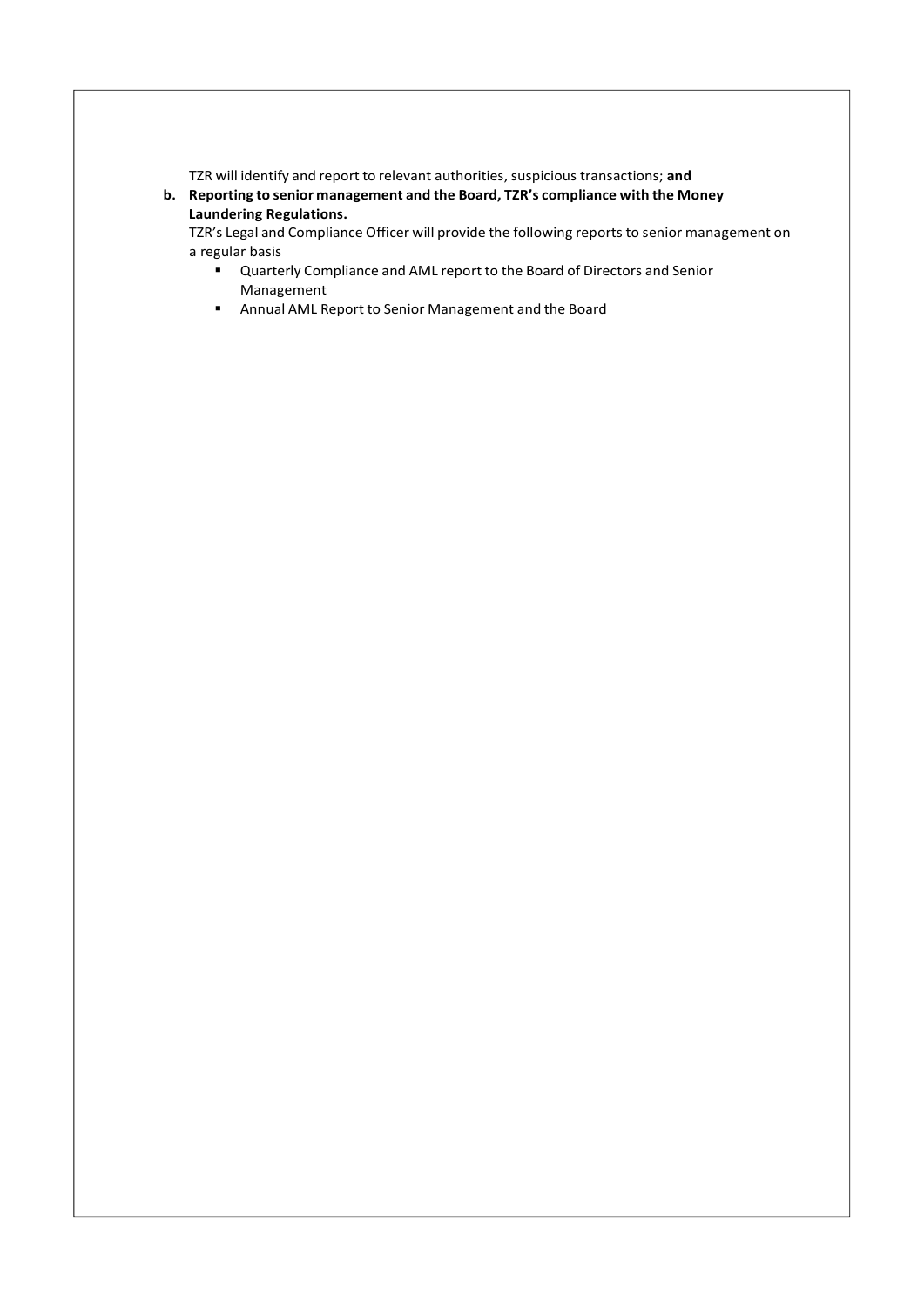TZR will identify and report to relevant authorities, suspicious transactions; and

b. Reporting to senior management and the Board, TZR's compliance with the Money Laundering Regulations.

TZR's Legal and Compliance Officer will provide the following reports to senior management on a regular basis

- Quarterly Compliance and AML report to the Board of Directors and Senior Management
- Annual AML Report to Senior Management and the Board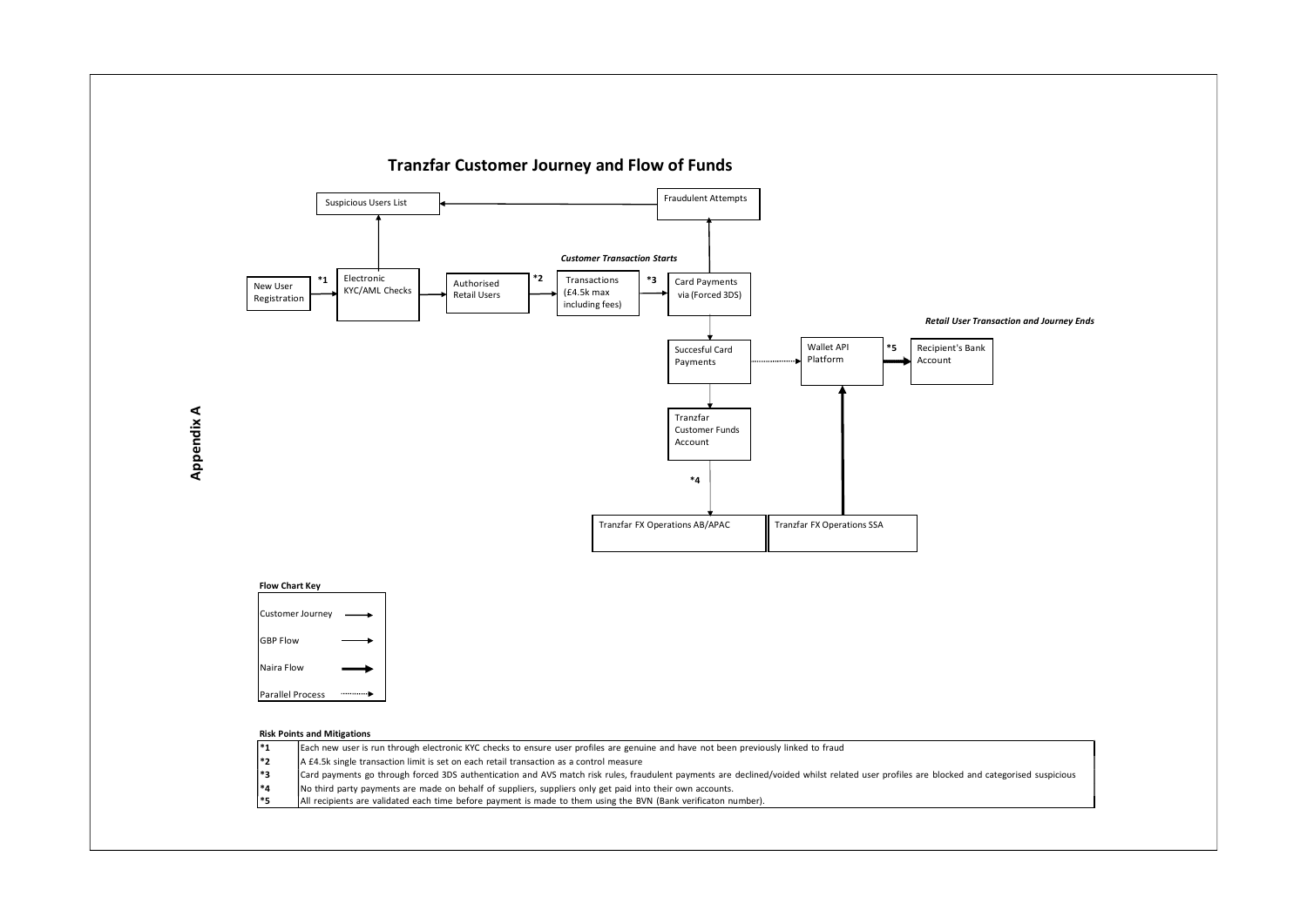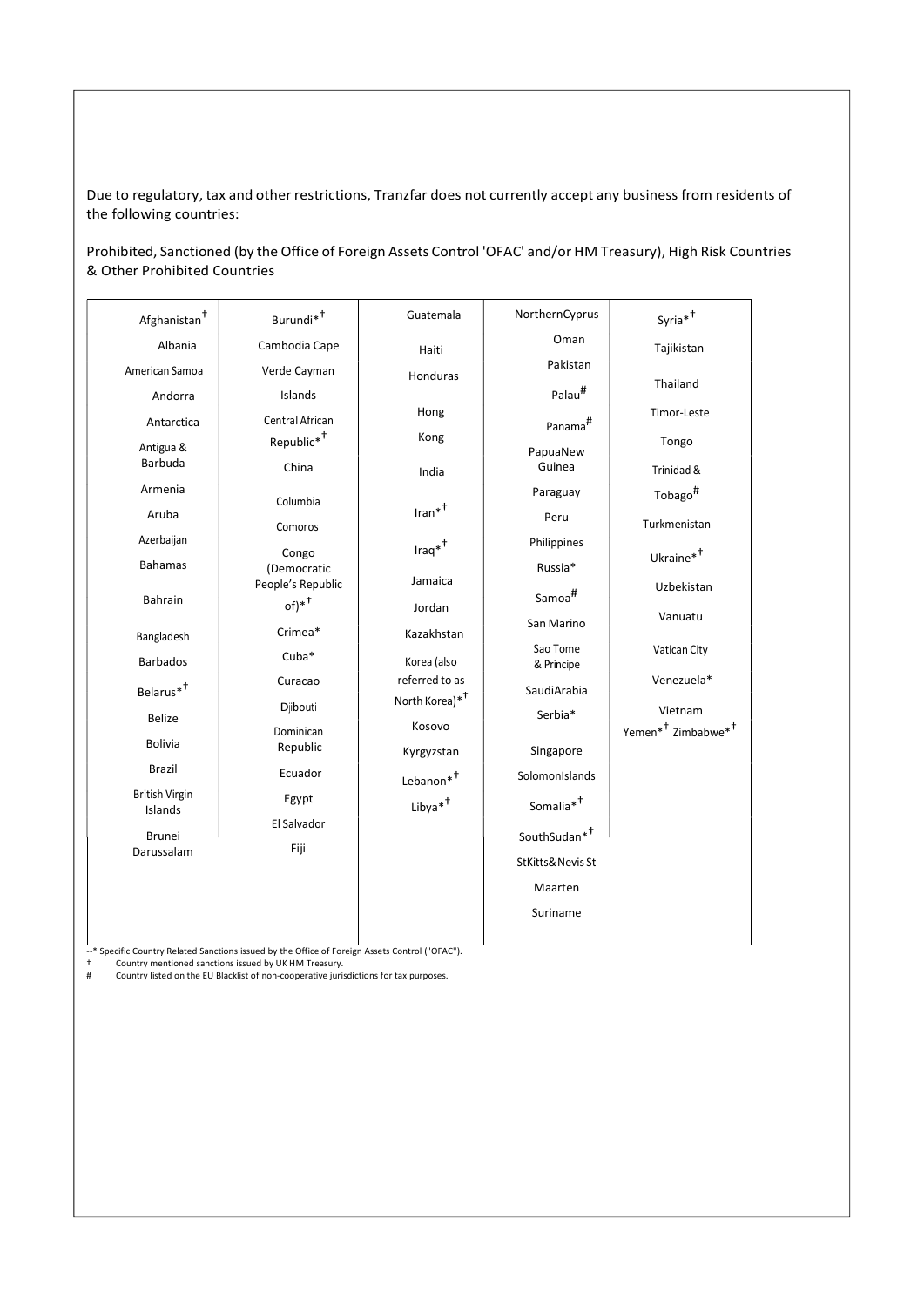Due to regulatory, tax and other restrictions, Tranzfar does not currently accept any business from residents of the following countries:

Prohibited, Sanctioned (by the Office of Foreign Assets Control 'OFAC' and/or HM Treasury), High Risk Countries & Other Prohibited Countries

| Afghanistan <sup>†</sup> | Burundi <sup>*+</sup>  | Guatemala                                    | NorthernCyprus           | $Syria*^{\dagger}$                         |
|--------------------------|------------------------|----------------------------------------------|--------------------------|--------------------------------------------|
| Albania                  | Cambodia Cape          | Haiti                                        | Oman                     | Tajikistan                                 |
| American Samoa           | Verde Cayman           | Honduras                                     | Pakistan                 |                                            |
| Andorra                  | Islands                |                                              | Palau <sup>#</sup>       | Thailand                                   |
| Antarctica               | Central African        | Hong                                         | Panama <sup>#</sup>      | Timor-Leste                                |
| Antigua &                | Republic <sup>*+</sup> | Kong                                         | PapuaNew                 | Tongo                                      |
| Barbuda                  | China                  | India                                        | Guinea                   | Trinidad &                                 |
| Armenia                  | Columbia               |                                              | Paraguay                 | Tobago <sup>#</sup>                        |
| Aruba                    | Comoros                | $_{\text{Iran}^{*}}$                         | Peru                     | Turkmenistan                               |
| Azerbaijan               |                        | $\text{Iraq}^{*^{\dagger}}$                  | Philippines              |                                            |
| <b>Bahamas</b>           | Congo<br>(Democratic   |                                              | Russia*                  | Ukraine <sup>*†</sup>                      |
| Bahrain                  | People's Republic      | Jamaica<br>Jordan                            | Samoa <sup>#</sup>       | Uzbekistan                                 |
|                          | $of)*^{\dagger}$       |                                              | San Marino               | Vanuatu                                    |
| Bangladesh               | Crimea*                | Kazakhstan                                   | Sao Tome                 | Vatican City                               |
| <b>Barbados</b>          | $Cuba*$                | Korea (also                                  | & Principe               |                                            |
| Belarus <sup>*†</sup>    | Curacao                | referred to as<br>North Korea)* <sup>†</sup> | SaudiArabia              | Venezuela*                                 |
| <b>Belize</b>            | Djibouti               |                                              | Serbia*                  | Vietnam                                    |
| <b>Bolivia</b>           | Dominican<br>Republic  | Kosovo                                       |                          | Yemen* <sup>†</sup> Zimbabwe* <sup>†</sup> |
| Brazil                   | Ecuador                | Kyrgyzstan                                   | Singapore                |                                            |
| <b>British Virgin</b>    |                        | Lebanon* <sup>†</sup>                        | SolomonIslands           |                                            |
| Islands                  | Egypt<br>El Salvador   | Libya <sup>*†</sup>                          | Somalia <sup>*†</sup>    |                                            |
| <b>Brunei</b>            |                        |                                              | SouthSudan <sup>*+</sup> |                                            |
| Darussalam               | Fiji                   |                                              | StKitts& Nevis St        |                                            |
|                          |                        |                                              | Maarten                  |                                            |
|                          |                        |                                              | Suriname                 |                                            |
|                          |                        |                                              |                          |                                            |

--\* Specific Country Related Sanctions issued by the Office of Foreign Assets Control ("OFAC").

† Country mentioned sanctions issued by UK HM Treasury. # Country listed on the EU Blacklist of non-cooperative jurisdictions for tax purposes.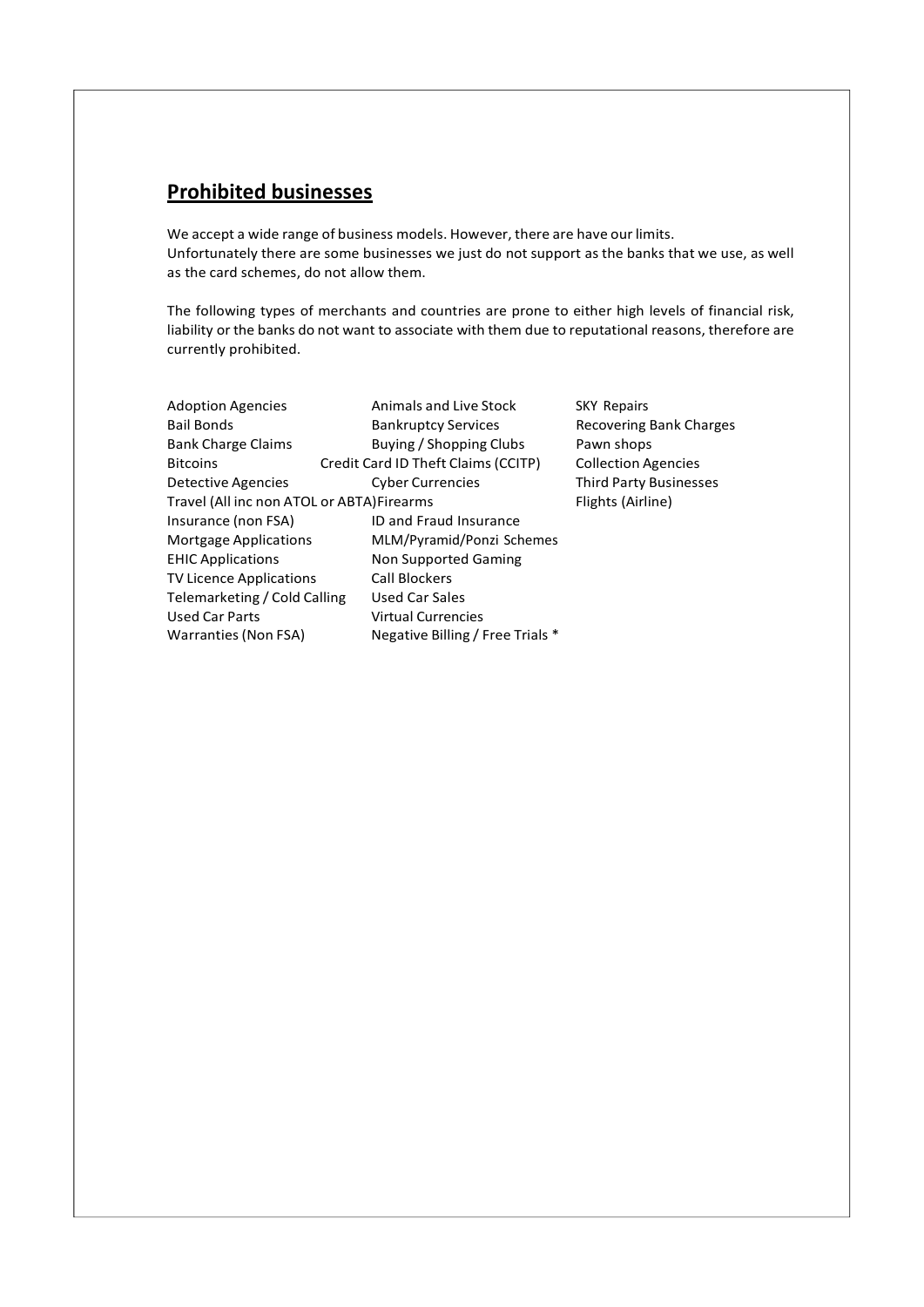# Prohibited businesses

We accept a wide range of business models. However, there are have our limits. Unfortunately there are some businesses we just do not support as the banks that we use, as well as the card schemes, do not allow them.

The following types of merchants and countries are prone to either high levels of financial risk, liability or the banks do not want to associate with them due to reputational reasons, therefore are currently prohibited.

| <b>Adoption Agencies</b>                   | Animals and Live Stock              | <b>SKY Repairs</b>            |  |  |
|--------------------------------------------|-------------------------------------|-------------------------------|--|--|
| <b>Bail Bonds</b>                          | <b>Bankruptcy Services</b>          | Recovering Bank Charges       |  |  |
| <b>Bank Charge Claims</b>                  | Buying / Shopping Clubs             | Pawn shops                    |  |  |
| <b>Bitcoins</b>                            | Credit Card ID Theft Claims (CCITP) | <b>Collection Agencies</b>    |  |  |
| Detective Agencies                         | <b>Cyber Currencies</b>             | <b>Third Party Businesses</b> |  |  |
| Travel (All inc non ATOL or ABTA) Firearms | Flights (Airline)                   |                               |  |  |
| Insurance (non FSA)                        | <b>ID and Fraud Insurance</b>       |                               |  |  |
| <b>Mortgage Applications</b>               | MLM/Pyramid/Ponzi Schemes           |                               |  |  |
| <b>EHIC Applications</b>                   | Non Supported Gaming                |                               |  |  |
| TV Licence Applications                    | <b>Call Blockers</b>                |                               |  |  |
| Telemarketing / Cold Calling               | Used Car Sales                      |                               |  |  |
| <b>Used Car Parts</b>                      | <b>Virtual Currencies</b>           |                               |  |  |
| Warranties (Non FSA)                       | Negative Billing / Free Trials *    |                               |  |  |
|                                            |                                     |                               |  |  |